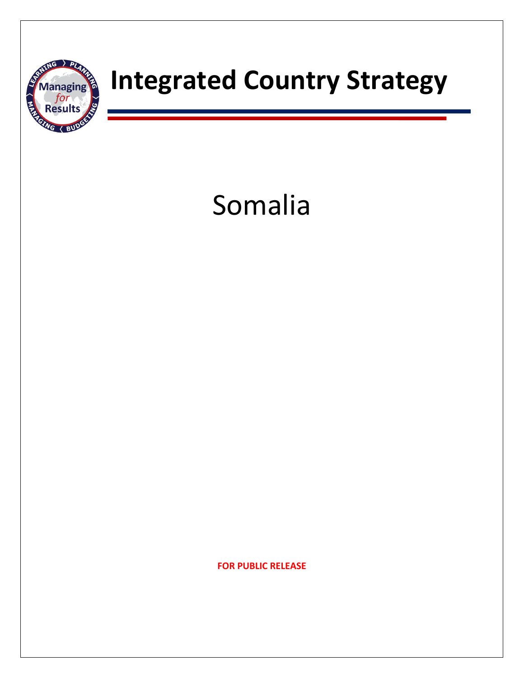

# **TAAAABOUTERY** Integrated Country Strategy

# Somalia

**FOR PUBLIC RELEASE**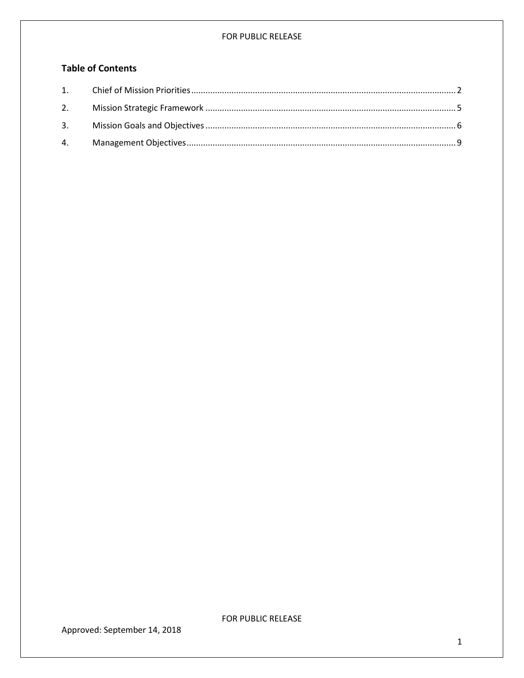## **Table of Contents**

<span id="page-1-0"></span>

Approved: September 14, 2018

FOR PUBLIC RELEASE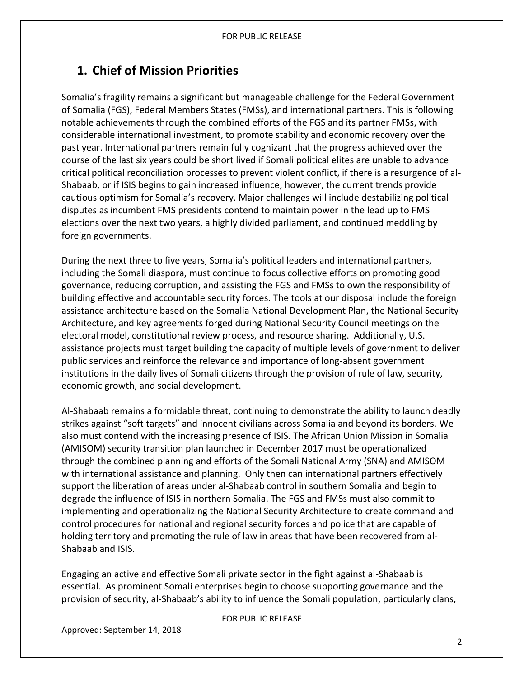# **1. Chief of Mission Priorities**

Somalia's fragility remains a significant but manageable challenge for the Federal Government of Somalia (FGS), Federal Members States (FMSs), and international partners. This is following notable achievements through the combined efforts of the FGS and its partner FMSs, with considerable international investment, to promote stability and economic recovery over the past year. International partners remain fully cognizant that the progress achieved over the course of the last six years could be short lived if Somali political elites are unable to advance critical political reconciliation processes to prevent violent conflict, if there is a resurgence of al-Shabaab, or if ISIS begins to gain increased influence; however, the current trends provide cautious optimism for Somalia's recovery. Major challenges will include destabilizing political disputes as incumbent FMS presidents contend to maintain power in the lead up to FMS elections over the next two years, a highly divided parliament, and continued meddling by foreign governments.

During the next three to five years, Somalia's political leaders and international partners, including the Somali diaspora, must continue to focus collective efforts on promoting good governance, reducing corruption, and assisting the FGS and FMSs to own the responsibility of building effective and accountable security forces. The tools at our disposal include the foreign assistance architecture based on the Somalia National Development Plan, the National Security Architecture, and key agreements forged during National Security Council meetings on the electoral model, constitutional review process, and resource sharing. Additionally, U.S. assistance projects must target building the capacity of multiple levels of government to deliver public services and reinforce the relevance and importance of long-absent government institutions in the daily lives of Somali citizens through the provision of rule of law, security, economic growth, and social development.

Al-Shabaab remains a formidable threat, continuing to demonstrate the ability to launch deadly strikes against "soft targets" and innocent civilians across Somalia and beyond its borders. We also must contend with the increasing presence of ISIS. The African Union Mission in Somalia (AMISOM) security transition plan launched in December 2017 must be operationalized through the combined planning and efforts of the Somali National Army (SNA) and AMISOM with international assistance and planning. Only then can international partners effectively support the liberation of areas under al-Shabaab control in southern Somalia and begin to degrade the influence of ISIS in northern Somalia. The FGS and FMSs must also commit to implementing and operationalizing the National Security Architecture to create command and control procedures for national and regional security forces and police that are capable of holding territory and promoting the rule of law in areas that have been recovered from al-Shabaab and ISIS.

Engaging an active and effective Somali private sector in the fight against al-Shabaab is essential. As prominent Somali enterprises begin to choose supporting governance and the provision of security, al-Shabaab's ability to influence the Somali population, particularly clans,

FOR PUBLIC RELEASE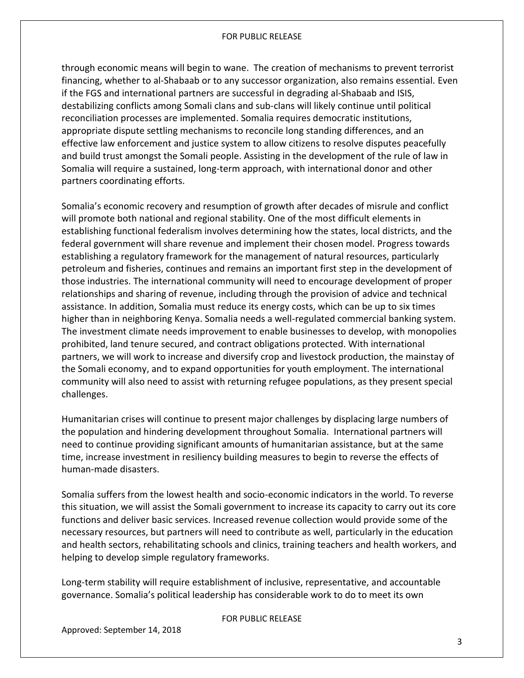through economic means will begin to wane. The creation of mechanisms to prevent terrorist financing, whether to al-Shabaab or to any successor organization, also remains essential. Even if the FGS and international partners are successful in degrading al-Shabaab and ISIS, destabilizing conflicts among Somali clans and sub-clans will likely continue until political reconciliation processes are implemented. Somalia requires democratic institutions, appropriate dispute settling mechanisms to reconcile long standing differences, and an effective law enforcement and justice system to allow citizens to resolve disputes peacefully and build trust amongst the Somali people. Assisting in the development of the rule of law in Somalia will require a sustained, long-term approach, with international donor and other partners coordinating efforts.

Somalia's economic recovery and resumption of growth after decades of misrule and conflict will promote both national and regional stability. One of the most difficult elements in establishing functional federalism involves determining how the states, local districts, and the federal government will share revenue and implement their chosen model. Progress towards establishing a regulatory framework for the management of natural resources, particularly petroleum and fisheries, continues and remains an important first step in the development of those industries. The international community will need to encourage development of proper relationships and sharing of revenue, including through the provision of advice and technical assistance. In addition, Somalia must reduce its energy costs, which can be up to six times higher than in neighboring Kenya. Somalia needs a well-regulated commercial banking system. The investment climate needs improvement to enable businesses to develop, with monopolies prohibited, land tenure secured, and contract obligations protected. With international partners, we will work to increase and diversify crop and livestock production, the mainstay of the Somali economy, and to expand opportunities for youth employment. The international community will also need to assist with returning refugee populations, as they present special challenges.

Humanitarian crises will continue to present major challenges by displacing large numbers of the population and hindering development throughout Somalia. International partners will need to continue providing significant amounts of humanitarian assistance, but at the same time, increase investment in resiliency building measures to begin to reverse the effects of human-made disasters.

Somalia suffers from the lowest health and socio-economic indicators in the world. To reverse this situation, we will assist the Somali government to increase its capacity to carry out its core functions and deliver basic services. Increased revenue collection would provide some of the necessary resources, but partners will need to contribute as well, particularly in the education and health sectors, rehabilitating schools and clinics, training teachers and health workers, and helping to develop simple regulatory frameworks.

Long-term stability will require establishment of inclusive, representative, and accountable governance. Somalia's political leadership has considerable work to do to meet its own

#### FOR PUBLIC RELEASE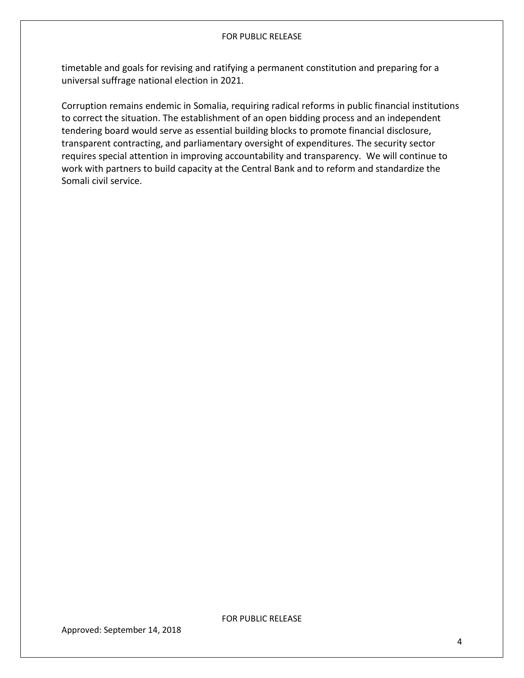timetable and goals for revising and ratifying a permanent constitution and preparing for a universal suffrage national election in 2021.

Corruption remains endemic in Somalia, requiring radical reforms in public financial institutions to correct the situation. The establishment of an open bidding process and an independent tendering board would serve as essential building blocks to promote financial disclosure, transparent contracting, and parliamentary oversight of expenditures. The security sector requires special attention in improving accountability and transparency. We will continue to work with partners to build capacity at the Central Bank and to reform and standardize the Somali civil service.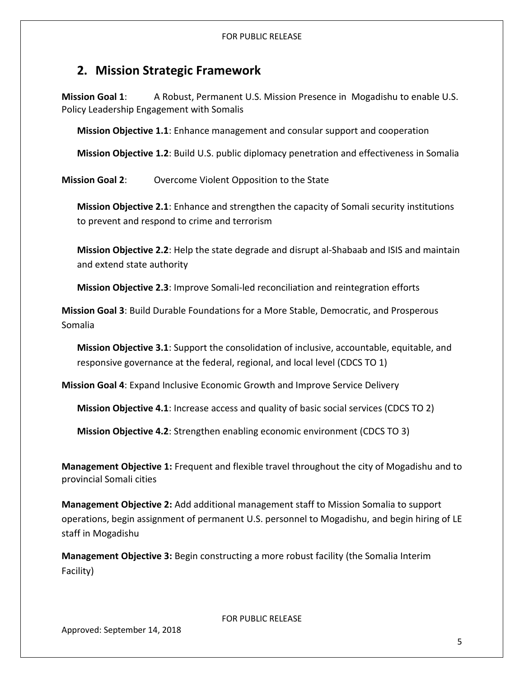## <span id="page-5-0"></span>**2. Mission Strategic Framework**

**Mission Goal 1**: A Robust, Permanent U.S. Mission Presence in Mogadishu to enable U.S. Policy Leadership Engagement with Somalis

**Mission Objective 1.1**: Enhance management and consular support and cooperation

**Mission Objective 1.2**: Build U.S. public diplomacy penetration and effectiveness in Somalia

**Mission Goal 2**: Overcome Violent Opposition to the State

**Mission Objective 2.1**: Enhance and strengthen the capacity of Somali security institutions to prevent and respond to crime and terrorism

**Mission Objective 2.2**: Help the state degrade and disrupt al-Shabaab and ISIS and maintain and extend state authority

**Mission Objective 2.3**: Improve Somali-led reconciliation and reintegration efforts

**Mission Goal 3**: Build Durable Foundations for a More Stable, Democratic, and Prosperous Somalia

**Mission Objective 3.1**: Support the consolidation of inclusive, accountable, equitable, and responsive governance at the federal, regional, and local level (CDCS TO 1)

**Mission Goal 4**: Expand Inclusive Economic Growth and Improve Service Delivery

**Mission Objective 4.1**: Increase access and quality of basic social services (CDCS TO 2)

**Mission Objective 4.2**: Strengthen enabling economic environment (CDCS TO 3)

**Management Objective 1:** Frequent and flexible travel throughout the city of Mogadishu and to provincial Somali cities

**Management Objective 2:** Add additional management staff to Mission Somalia to support operations, begin assignment of permanent U.S. personnel to Mogadishu, and begin hiring of LE staff in Mogadishu

**Management Objective 3:** Begin constructing a more robust facility (the Somalia Interim Facility)

FOR PUBLIC RELEASE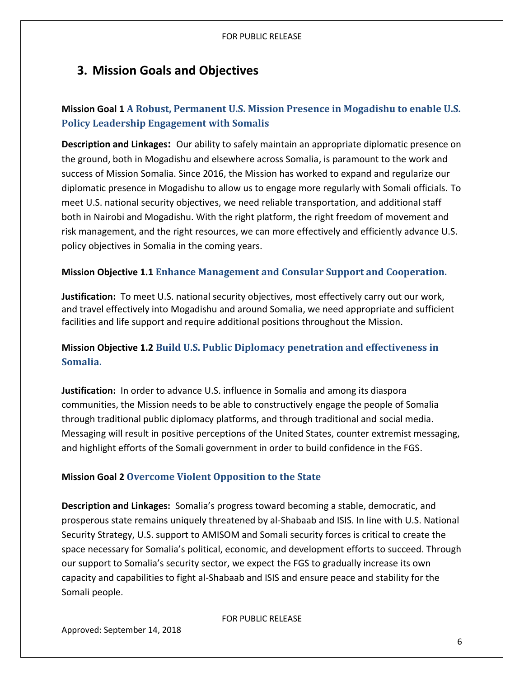# <span id="page-6-0"></span>**3. Mission Goals and Objectives**

## **Mission Goal 1 A Robust, Permanent U.S. Mission Presence in Mogadishu to enable U.S. Policy Leadership Engagement with Somalis**

**Description and Linkages:** Our ability to safely maintain an appropriate diplomatic presence on the ground, both in Mogadishu and elsewhere across Somalia, is paramount to the work and success of Mission Somalia. Since 2016, the Mission has worked to expand and regularize our diplomatic presence in Mogadishu to allow us to engage more regularly with Somali officials. To meet U.S. national security objectives, we need reliable transportation, and additional staff both in Nairobi and Mogadishu. With the right platform, the right freedom of movement and risk management, and the right resources, we can more effectively and efficiently advance U.S. policy objectives in Somalia in the coming years.

## **Mission Objective 1.1 Enhance Management and Consular Support and Cooperation.**

**Justification:** To meet U.S. national security objectives, most effectively carry out our work, and travel effectively into Mogadishu and around Somalia, we need appropriate and sufficient facilities and life support and require additional positions throughout the Mission.

## **Mission Objective 1.2 Build U.S. Public Diplomacy penetration and effectiveness in Somalia.**

**Justification:** In order to advance U.S. influence in Somalia and among its diaspora communities, the Mission needs to be able to constructively engage the people of Somalia through traditional public diplomacy platforms, and through traditional and social media. Messaging will result in positive perceptions of the United States, counter extremist messaging, and highlight efforts of the Somali government in order to build confidence in the FGS.

## **Mission Goal 2 Overcome Violent Opposition to the State**

**Description and Linkages:** Somalia's progress toward becoming a stable, democratic, and prosperous state remains uniquely threatened by al-Shabaab and ISIS. In line with U.S. National Security Strategy, U.S. support to AMISOM and Somali security forces is critical to create the space necessary for Somalia's political, economic, and development efforts to succeed. Through our support to Somalia's security sector, we expect the FGS to gradually increase its own capacity and capabilities to fight al-Shabaab and ISIS and ensure peace and stability for the Somali people.

FOR PUBLIC RELEASE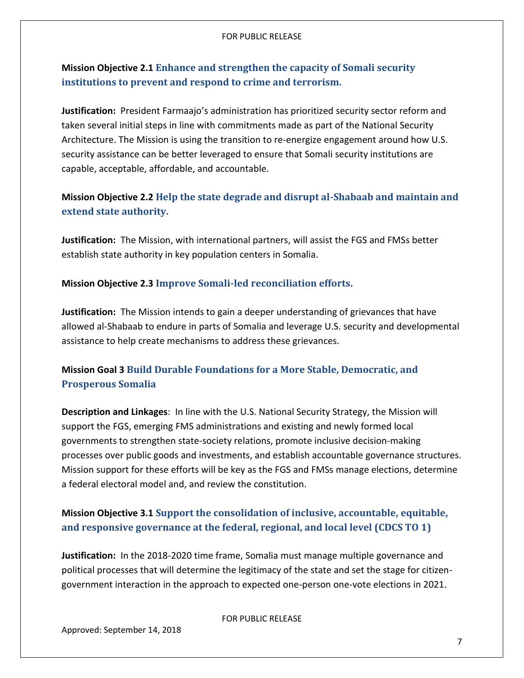## **Mission Objective 2.1 Enhance and strengthen the capacity of Somali security institutions to prevent and respond to crime and terrorism.**

**Justification:** President Farmaajo's administration has prioritized security sector reform and taken several initial steps in line with commitments made as part of the National Security Architecture. The Mission is using the transition to re-energize engagement around how U.S. security assistance can be better leveraged to ensure that Somali security institutions are capable, acceptable, affordable, and accountable.

## **Mission Objective 2.2 Help the state degrade and disrupt al-Shabaab and maintain and extend state authority.**

**Justification:** The Mission, with international partners, will assist the FGS and FMSs better establish state authority in key population centers in Somalia.

## **Mission Objective 2.3 Improve Somali-led reconciliation efforts.**

**Justification:** The Mission intends to gain a deeper understanding of grievances that have allowed al-Shabaab to endure in parts of Somalia and leverage U.S. security and developmental assistance to help create mechanisms to address these grievances.

## **Mission Goal 3 Build Durable Foundations for a More Stable, Democratic, and Prosperous Somalia**

**Description and Linkages**: In line with the U.S. National Security Strategy, the Mission will support the FGS, emerging FMS administrations and existing and newly formed local governments to strengthen state-society relations, promote inclusive decision-making processes over public goods and investments, and establish accountable governance structures. Mission support for these efforts will be key as the FGS and FMSs manage elections, determine a federal electoral model and, and review the constitution.

## **Mission Objective 3.1 Support the consolidation of inclusive, accountable, equitable, and responsive governance at the federal, regional, and local level (CDCS TO 1)**

**Justification:** In the 2018-2020 time frame, Somalia must manage multiple governance and political processes that will determine the legitimacy of the state and set the stage for citizengovernment interaction in the approach to expected one-person one-vote elections in 2021.

#### FOR PUBLIC RELEASE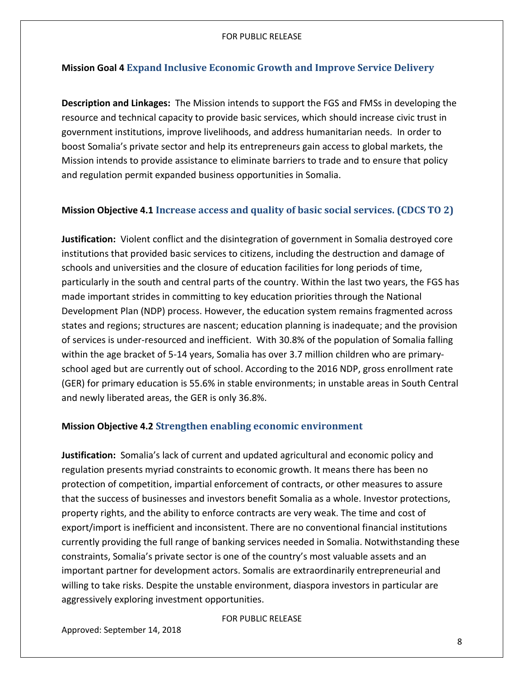## **Mission Goal 4 Expand Inclusive Economic Growth and Improve Service Delivery**

**Description and Linkages:** The Mission intends to support the FGS and FMSs in developing the resource and technical capacity to provide basic services, which should increase civic trust in government institutions, improve livelihoods, and address humanitarian needs. In order to boost Somalia's private sector and help its entrepreneurs gain access to global markets, the Mission intends to provide assistance to eliminate barriers to trade and to ensure that policy and regulation permit expanded business opportunities in Somalia.

## **Mission Objective 4.1 Increase access and quality of basic social services. (CDCS TO 2)**

**Justification:** Violent conflict and the disintegration of government in Somalia destroyed core institutions that provided basic services to citizens, including the destruction and damage of schools and universities and the closure of education facilities for long periods of time, particularly in the south and central parts of the country. Within the last two years, the FGS has made important strides in committing to key education priorities through the National Development Plan (NDP) process. However, the education system remains fragmented across states and regions; structures are nascent; education planning is inadequate; and the provision of services is under-resourced and inefficient. With 30.8% of the population of Somalia falling within the age bracket of 5-14 years, Somalia has over 3.7 million children who are primaryschool aged but are currently out of school. According to the 2016 NDP, gross enrollment rate (GER) for primary education is 55.6% in stable environments; in unstable areas in South Central and newly liberated areas, the GER is only 36.8%.

## **Mission Objective 4.2 Strengthen enabling economic environment**

**Justification:** Somalia's lack of current and updated agricultural and economic policy and regulation presents myriad constraints to economic growth. It means there has been no protection of competition, impartial enforcement of contracts, or other measures to assure that the success of businesses and investors benefit Somalia as a whole. Investor protections, property rights, and the ability to enforce contracts are very weak. The time and cost of export/import is inefficient and inconsistent. There are no conventional financial institutions currently providing the full range of banking services needed in Somalia. Notwithstanding these constraints, Somalia's private sector is one of the country's most valuable assets and an important partner for development actors. Somalis are extraordinarily entrepreneurial and willing to take risks. Despite the unstable environment, diaspora investors in particular are aggressively exploring investment opportunities.

#### FOR PUBLIC RELEASE